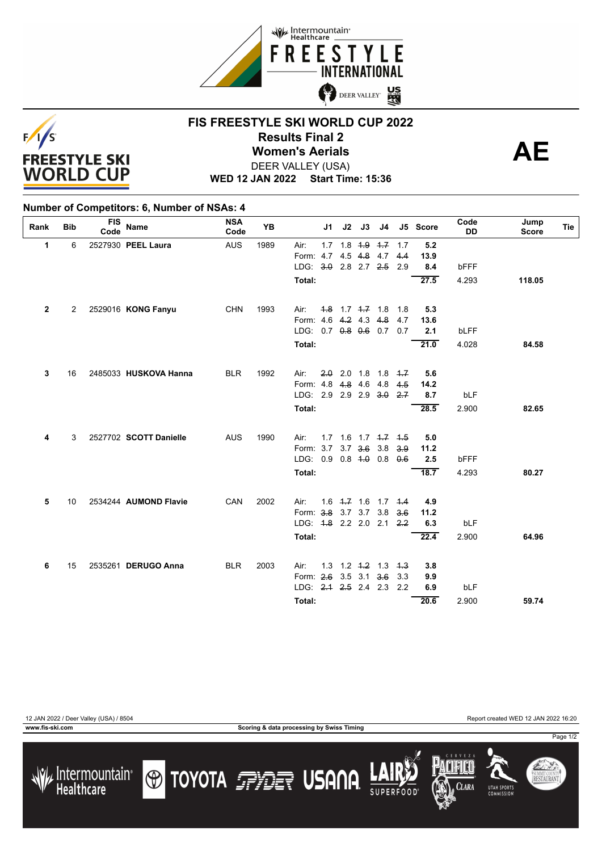



## **FIS FREESTYLE SKI WORLD CUP 2022 Results Final 2**<br>Women's Aerials<br>DEER VALLEY (LISA) DEER VALLEY (USA)

**WED 12 JAN 2022 Start Time: 15:36**

### **Number of Competitors: 6, Number of NSAs: 4**

| Rank         | <b>Bib</b>     | <b>FIS</b><br>Code | Name                   | <b>NSA</b><br>Code | <b>YB</b> |                                                       | J1  | J2 | J3                      | J4                      |            | J5 Score   | Code<br><b>DD</b> | Jump<br><b>Score</b> | Tie |
|--------------|----------------|--------------------|------------------------|--------------------|-----------|-------------------------------------------------------|-----|----|-------------------------|-------------------------|------------|------------|-------------------|----------------------|-----|
| 1            | 6              |                    | 2527930 PEEL Laura     | <b>AUS</b>         | 1989      | Air:                                                  |     |    | $1.7$ $1.8$ $4.9$ $4.7$ |                         | 1.7        | 5.2        |                   |                      |     |
|              |                |                    |                        |                    |           | Form: 4.7 4.5 4.8 4.7                                 |     |    |                         |                         | 4.4        | 13.9       |                   |                      |     |
|              |                |                    |                        |                    |           | LDG: 3.0 2.8 2.7 2.5                                  |     |    |                         |                         | 2.9        | 8.4        | bFFF              |                      |     |
|              |                |                    |                        |                    |           | Total:                                                |     |    |                         |                         |            | 27.5       | 4.293             | 118.05               |     |
| $\mathbf{2}$ | $\overline{2}$ |                    | 2529016 KONG Fanyu     | <b>CHN</b>         | 1993      | Air:                                                  |     |    | $4.8$ 1.7 $4.7$ 1.8     |                         | 1.8        | 5.3        |                   |                      |     |
|              |                |                    |                        |                    |           | Form: 4.6 4.2 4.3 4.8                                 |     |    |                         |                         | 4.7        | 13.6       |                   |                      |     |
|              |                |                    |                        |                    |           | LDG: 0.7 0.8 0.6 0.7                                  |     |    |                         |                         | 0.7        | 2.1        | <b>bLFF</b>       |                      |     |
|              |                |                    |                        |                    |           | Total:                                                |     |    |                         |                         |            | 21.0       | 4.028             | 84.58                |     |
| 3            | 16             |                    | 2485033 HUSKOVA Hanna  | <b>BLR</b>         | 1992      | Air:                                                  | 2.0 |    |                         | 2.0 1.8 1.8             | 4.7        | 5.6        |                   |                      |     |
|              |                |                    |                        |                    |           | Form: 4.8 4.8 4.6                                     |     |    |                         | 4.8                     | 4.5        | 14.2       |                   |                      |     |
|              |                |                    |                        |                    |           | LDG: 2.9 2.9 2.9 3.0                                  |     |    |                         |                         | 2.7        | 8.7        | bLF               |                      |     |
|              |                |                    |                        |                    |           | Total:                                                |     |    |                         |                         |            | 28.5       | 2.900             | 82.65                |     |
|              |                |                    |                        |                    |           |                                                       |     |    |                         |                         |            |            |                   |                      |     |
| 4            | 3              |                    | 2527702 SCOTT Danielle | <b>AUS</b>         | 1990      | Air:                                                  |     |    |                         | $1.7$ $1.6$ $1.7$ $4.7$ | 4.5        | 5.0        |                   |                      |     |
|              |                |                    |                        |                    |           | Form: 3.7                                             |     |    | $3.7$ $3.6$ $3.8$       |                         | 3.9        | 11.2       |                   |                      |     |
|              |                |                    |                        |                    |           | LDG: 0.9 0.8 4.0 0.8                                  |     |    |                         |                         | 0.6        | 2.5        | <b>bFFF</b>       |                      |     |
|              |                |                    |                        |                    |           | Total:                                                |     |    |                         |                         |            | 18.7       | 4.293             | 80.27                |     |
| 5            | 10             |                    | 2534244 AUMOND Flavie  | CAN                | 2002      | Air:                                                  |     |    |                         | $1.6$ $4.7$ $1.6$ $1.7$ | 4.4        | 4.9        |                   |                      |     |
|              |                |                    |                        |                    |           | Form: 3.8 3.7 3.7 3.8                                 |     |    |                         |                         | 3.6        | 11.2       |                   |                      |     |
|              |                |                    |                        |                    |           | LDG: 4.8 2.2 2.0 2.1                                  |     |    |                         |                         | 2.2        | 6.3        | bLF               |                      |     |
|              |                |                    |                        |                    |           | Total:                                                |     |    |                         |                         |            | 22.4       | 2.900             | 64.96                |     |
|              |                |                    |                        |                    |           |                                                       |     |    |                         |                         |            |            |                   |                      |     |
| 6            | 15             |                    | 2535261 DERUGO Anna    | <b>BLR</b>         | 2003      | Air:                                                  |     |    | 1.3 1.2 $\div 2$ 1.3    |                         | 4.3        | 3.8        |                   |                      |     |
|              |                |                    |                        |                    |           | Form: 2.6 3.5 3.1 3.6<br>LDG: $2.4$ $2.5$ $2.4$ $2.3$ |     |    |                         |                         | 3.3<br>2.2 | 9.9<br>6.9 | bLF               |                      |     |
|              |                |                    |                        |                    |           |                                                       |     |    |                         |                         |            |            |                   |                      |     |
|              |                |                    |                        |                    |           | Total:                                                |     |    |                         |                         |            | 20.6       | 2.900             | 59.74                |     |

Lintermountain<sup>®</sup><br>Healthcare

**www.fis-ski.com Scoring & data processing by Swiss Timing**

**O TOYOTA FRIET USANA** 

12 JAN 2022 / Deer Valley (USA) / 8504 Report created WED 12 JAN 2022 16:20

Clara

**UTAH SPORT** 

Page 1/2

SUMMIT COUNTY<br>**RESTAURANT**